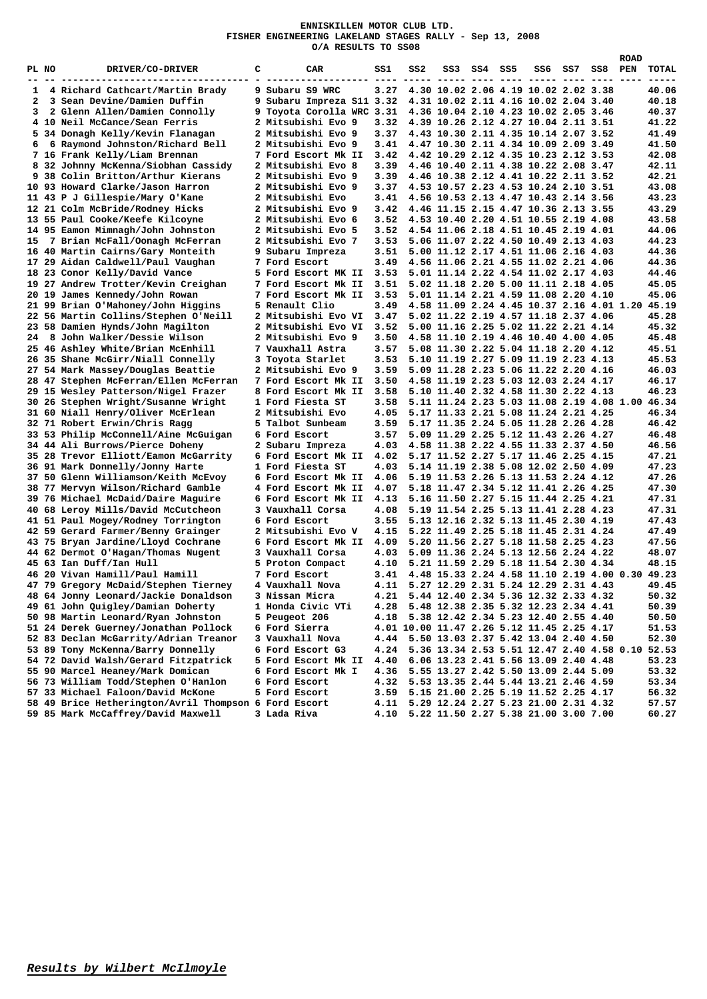## **ENNISKILLEN MOTOR CLUB LTD. FISHER ENGINEERING LAKELAND STAGES RALLY - Sep 13, 2008 O/A RESULTS TO SS08**

|    |       |                                                       |   |                           |      |     |                                                 |             |     |     |     | <b>ROAD</b> |       |
|----|-------|-------------------------------------------------------|---|---------------------------|------|-----|-------------------------------------------------|-------------|-----|-----|-----|-------------|-------|
|    | PL NO | DRIVER/CO-DRIVER                                      | с | CAR.                      | ss1  | SS2 |                                                 | SS3 SS4 SS5 | SS6 | SS7 | SS8 | PEN         | TOTAL |
|    |       |                                                       |   |                           |      |     |                                                 |             |     |     |     |             |       |
| 1  |       | 4 Richard Cathcart/Martin Brady                       |   | 9 Subaru S9 WRC           | 3.27 |     | 4.30 10.02 2.06 4.19 10.02 2.02 3.38            |             |     |     |     |             | 40.06 |
| 2  |       | 3 Sean Devine/Damien Duffin                           |   | 9 Subaru Impreza S11 3.32 |      |     | 4.31 10.02 2.11 4.16 10.02 2.04 3.40            |             |     |     |     |             | 40.18 |
| 3  |       | 2 Glenn Allen/Damien Connolly                         |   | 9 Toyota Corolla WRC 3.31 |      |     | 4.36 10.04 2.10 4.23 10.02 2.05 3.46            |             |     |     |     |             | 40.37 |
|    |       | 4 10 Neil McCance/Sean Ferris                         |   | 2 Mitsubishi Evo 9        | 3.32 |     | 4.39 10.26 2.12 4.27 10.04 2.11 3.51            |             |     |     |     |             | 41.22 |
|    |       | 5 34 Donagh Kelly/Kevin Flanagan                      |   | 2 Mitsubishi Evo 9        | 3.37 |     | 4.43 10.30 2.11 4.35 10.14 2.07 3.52            |             |     |     |     |             | 41.49 |
| 6  |       | 6 Raymond Johnston/Richard Bell                       |   | 2 Mitsubishi Evo 9        | 3.41 |     | 4.47 10.30 2.11 4.34 10.09 2.09 3.49            |             |     |     |     |             | 41.50 |
|    |       | 7 16 Frank Kelly/Liam Brennan                         |   | 7 Ford Escort Mk II       | 3.42 |     | 4.42 10.29 2.12 4.35 10.23 2.12 3.53            |             |     |     |     |             | 42.08 |
|    |       | 8 32 Johnny McKenna/Siobhan Cassidy                   |   | 2 Mitsubishi Evo 8        | 3.39 |     | 4.46 10.40 2.11 4.38 10.22 2.08 3.47            |             |     |     |     |             | 42.11 |
|    |       | 9 38 Colin Britton/Arthur Kierans                     |   | 2 Mitsubishi Evo 9        | 3.39 |     | 4.46 10.38 2.12 4.41 10.22 2.11 3.52            |             |     |     |     |             | 42.21 |
|    |       | 10 93 Howard Clarke/Jason Harron                      |   | 2 Mitsubishi Evo 9        | 3.37 |     | 4.53 10.57 2.23 4.53 10.24 2.10 3.51            |             |     |     |     |             | 43.08 |
|    |       | 11 43 P J Gillespie/Mary O'Kane                       |   | 2 Mitsubishi Evo          | 3.41 |     | 4.56 10.53 2.13 4.47 10.43 2.14 3.56            |             |     |     |     |             | 43.23 |
|    |       | 12 21 Colm McBride/Rodney Hicks                       |   | 2 Mitsubishi Evo 9        | 3.42 |     | 4.46 11.15 2.15 4.47 10.36 2.13 3.55            |             |     |     |     |             | 43.29 |
|    |       | 13 55 Paul Cooke/Keefe Kilcoyne                       |   | 2 Mitsubishi Evo 6        | 3.52 |     | 4.53 10.40 2.20 4.51 10.55 2.19 4.08            |             |     |     |     |             | 43.58 |
|    |       |                                                       |   |                           |      |     |                                                 |             |     |     |     |             |       |
|    |       | 14 95 Eamon Mimnagh/John Johnston                     |   | 2 Mitsubishi Evo 5        | 3.52 |     | 4.54 11.06 2.18 4.51 10.45 2.19 4.01            |             |     |     |     |             | 44.06 |
| 15 |       | 7 Brian McFall/Oonagh McFerran                        |   | 2 Mitsubishi Evo 7        | 3.53 |     | 5.06 11.07 2.22 4.50 10.49 2.13 4.03            |             |     |     |     |             | 44.23 |
|    |       | 16 40 Martin Cairns/Gary Monteith                     |   | 9 Subaru Impreza          | 3.51 |     | 5.00 11.12 2.17 4.51 11.06 2.16 4.03            |             |     |     |     |             | 44.36 |
|    |       | 17 29 Aidan Caldwell/Paul Vaughan                     |   | 7 Ford Escort             | 3.49 |     | 4.56 11.06 2.21 4.55 11.02 2.21 4.06            |             |     |     |     |             | 44.36 |
|    |       | 18 23 Conor Kelly/David Vance                         |   | 5 Ford Escort MK II       | 3.53 |     | 5.01 11.14 2.22 4.54 11.02 2.17 4.03            |             |     |     |     |             | 44.46 |
|    |       | 19 27 Andrew Trotter/Kevin Creighan                   |   | 7 Ford Escort Mk II       | 3.51 |     | 5.02 11.18 2.20 5.00 11.11 2.18 4.05            |             |     |     |     |             | 45.05 |
|    |       | 20 19 James Kennedy/John Rowan                        |   | 7 Ford Escort Mk II       | 3.53 |     | 5.01 11.14 2.21 4.59 11.08 2.20 4.10            |             |     |     |     |             | 45.06 |
|    |       | 21 99 Brian O'Mahoney/John Higgins                    |   | 5 Renault Clio            | 3.49 |     | 4.58 11.09 2.24 4.45 10.37 2.16 4.01 1.20 45.19 |             |     |     |     |             |       |
|    |       | 22 56 Martin Collins/Stephen O'Neill                  |   | 2 Mitsubishi Evo VI       | 3.47 |     | 5.02 11.22 2.19 4.57 11.18 2.37 4.06            |             |     |     |     |             | 45.28 |
|    |       | 23 58 Damien Hynds/John Magilton                      |   | 2 Mitsubishi Evo VI       | 3.52 |     | 5.00 11.16 2.25 5.02 11.22 2.21 4.14            |             |     |     |     |             | 45.32 |
| 24 |       | 8 John Walker/Dessie Wilson                           |   | 2 Mitsubishi Evo 9        | 3.50 |     | 4.58 11.10 2.19 4.46 10.40 4.00 4.05            |             |     |     |     |             | 45.48 |
|    |       | 25 46 Ashley White/Brian McEnhill                     |   | 7 Vauxhall Astra          | 3.57 |     | 5.08 11.30 2.22 5.04 11.18 2.20 4.12            |             |     |     |     |             | 45.51 |
|    |       | 26 35 Shane McGirr/Niall Connelly                     |   | 3 Toyota Starlet          | 3.53 |     | 5.10 11.19 2.27 5.09 11.19 2.23 4.13            |             |     |     |     |             | 45.53 |
|    |       | 27 54 Mark Massey/Douglas Beattie                     |   | 2 Mitsubishi Evo 9        | 3.59 |     | 5.09 11.28 2.23 5.06 11.22 2.20 4.16            |             |     |     |     |             | 46.03 |
|    |       | 28 47 Stephen McFerran/Ellen McFerran                 |   | 7 Ford Escort Mk II       | 3.50 |     | 4.58 11.19 2.23 5.03 12.03 2.24 4.17            |             |     |     |     |             | 46.17 |
|    |       | 29 15 Wesley Patterson/Nigel Frazer                   |   | 8 Ford Escort Mk II       | 3.58 |     | 5.10 11.40 2.32 4.58 11.30 2.22 4.13            |             |     |     |     |             | 46.23 |
|    |       | 30 26 Stephen Wright/Susanne Wright                   |   | 1 Ford Fiesta ST          | 3.58 |     | 5.11 11.24 2.23 5.03 11.08 2.19 4.08 1.00 46.34 |             |     |     |     |             |       |
|    |       | 31 60 Niall Henry/Oliver McErlean                     |   | 2 Mitsubishi Evo          | 4.05 |     | 5.17 11.33 2.21 5.08 11.24 2.21 4.25            |             |     |     |     |             | 46.34 |
|    |       | 32 71 Robert Erwin/Chris Ragg                         |   | 5 Talbot Sunbeam          | 3.59 |     | 5.17 11.35 2.24 5.05 11.28 2.26 4.28            |             |     |     |     |             | 46.42 |
|    |       | 33 53 Philip McConnell/Aine McGuigan                  |   | 6 Ford Escort             | 3.57 |     | 5.09 11.29 2.25 5.12 11.43 2.26 4.27            |             |     |     |     |             | 46.48 |
|    |       | 34 44 Ali Burrows/Pierce Doheny                       |   | 2 Subaru Impreza          | 4.03 |     | 4.58 11.38 2.22 4.55 11.33 2.37 4.50            |             |     |     |     |             | 46.56 |
|    |       | 35 28 Trevor Elliott/Eamon McGarrity                  |   | 6 Ford Escort Mk II       | 4.02 |     | 5.17 11.52 2.27 5.17 11.46 2.25 4.15            |             |     |     |     |             | 47.21 |
|    |       | 36 91 Mark Donnelly/Jonny Harte                       |   | 1 Ford Fiesta ST          | 4.03 |     | 5.14 11.19 2.38 5.08 12.02 2.50 4.09            |             |     |     |     |             | 47.23 |
|    |       | 37 50 Glenn Williamson/Keith McEvoy                   |   | 6 Ford Escort Mk II       | 4.06 |     | 5.19 11.53 2.26 5.13 11.53 2.24 4.12            |             |     |     |     |             | 47.26 |
|    |       | 38 77 Mervyn Wilson/Richard Gamble                    |   | 4 Ford Escort Mk II       | 4.07 |     | 5.18 11.47 2.34 5.12 11.41 2.26 4.25            |             |     |     |     |             | 47.30 |
|    |       | 39 76 Michael McDaid/Daire Maguire                    |   | 6 Ford Escort Mk II       | 4.13 |     | 5.16 11.50 2.27 5.15 11.44 2.25 4.21            |             |     |     |     |             | 47.31 |
|    |       | 40 68 Leroy Mills/David McCutcheon                    |   | 3 Vauxhall Corsa          | 4.08 |     | 5.19 11.54 2.25 5.13 11.41 2.28 4.23            |             |     |     |     |             | 47.31 |
|    |       | 41 51 Paul Mogey/Rodney Torrington                    |   | 6 Ford Escort             | 3.55 |     | 5.13 12.16 2.32 5.13 11.45 2.30 4.19            |             |     |     |     |             | 47.43 |
|    |       | 42 59 Gerard Farmer/Benny Grainger                    |   | 2 Mitsubishi Evo V        | 4.15 |     | 5.22 11.49 2.25 5.18 11.45 2.31 4.24            |             |     |     |     |             | 47.49 |
|    |       | 43 75 Bryan Jardine/Lloyd Cochrane                    |   | 6 Ford Escort Mk II       | 4.09 |     | 5.20 11.56 2.27 5.18 11.58 2.25 4.23            |             |     |     |     |             | 47.56 |
|    |       | 44 62 Dermot O'Hagan/Thomas Nugent                    |   | 3 Vauxhall Corsa          | 4.03 |     | 5.09 11.36 2.24 5.13 12.56 2.24 4.22            |             |     |     |     |             | 48.07 |
|    |       | 45 63 Ian Duff/Ian Hull                               |   | 5 Proton Compact          | 4.10 |     | 5.21 11.59 2.29 5.18 11.54 2.30 4.34            |             |     |     |     |             | 48.15 |
|    |       | 46 20 Vivan Hamill/Paul Hamill                        |   | 7 Ford Escort             | 3.41 |     | 4.48 15.33 2.24 4.58 11.10 2.19 4.00 0.30 49.23 |             |     |     |     |             |       |
|    |       | 47 79 Gregory McDaid/Stephen Tierney                  |   | 4 Vauxhall Nova           | 4.11 |     | 5.27 12.29 2.31 5.24 12.29 2.31 4.43            |             |     |     |     |             | 49.45 |
|    |       | 48 64 Jonny Leonard/Jackie Donaldson                  |   | 3 Nissan Micra            | 4.21 |     | 5.44 12.40 2.34 5.36 12.32 2.33 4.32            |             |     |     |     |             | 50.32 |
|    |       | 49 61 John Quigley/Damian Doherty                     |   | 1 Honda Civic VTi         | 4.28 |     | 5.48 12.38 2.35 5.32 12.23 2.34 4.41            |             |     |     |     |             |       |
|    |       |                                                       |   |                           |      |     |                                                 |             |     |     |     |             | 50.39 |
|    |       | 50 98 Martin Leonard/Ryan Johnston                    |   | 5 Peugeot 206             | 4.18 |     | 5.38 12.42 2.34 5.23 12.40 2.55 4.40            |             |     |     |     |             | 50.50 |
|    |       | 51 24 Derek Guerney/Jonathan Pollock                  |   | 6 Ford Sierra             |      |     | 4.01 10.00 11.47 2.26 5.12 11.45 2.25 4.17      |             |     |     |     |             | 51.53 |
|    |       | 52 83 Declan McGarrity/Adrian Treanor                 |   | 3 Vauxhall Nova           | 4.44 |     | 5.50 13.03 2.37 5.42 13.04 2.40 4.50            |             |     |     |     |             | 52.30 |
|    |       | 53 89 Tony McKenna/Barry Donnelly                     |   | 6 Ford Escort G3          | 4.24 |     | 5.36 13.34 2.53 5.51 12.47 2.40 4.58 0.10 52.53 |             |     |     |     |             |       |
|    |       | 54 72 David Walsh/Gerard Fitzpatrick                  |   | 5 Ford Escort Mk II       | 4.40 |     | 6.06 13.23 2.41 5.56 13.09 2.40 4.48            |             |     |     |     |             | 53.23 |
|    |       | 55 90 Marcel Heaney/Mark Domican                      |   | 6 Ford Escort Mk I        | 4.36 |     | 5.55 13.27 2.42 5.50 13.09 2.44 5.09            |             |     |     |     |             | 53.32 |
|    |       | 56 73 William Todd/Stephen O'Hanlon                   |   | 6 Ford Escort             | 4.32 |     | 5.53 13.35 2.44 5.44 13.21 2.46 4.59            |             |     |     |     |             | 53.34 |
|    |       | 57 33 Michael Faloon/David McKone                     |   | 5 Ford Escort             | 3.59 |     | 5.15 21.00 2.25 5.19 11.52 2.25 4.17            |             |     |     |     |             | 56.32 |
|    |       | 58 49 Brice Hetherington/Avril Thompson 6 Ford Escort |   |                           | 4.11 |     | 5.29 12.24 2.27 5.23 21.00 2.31 4.32            |             |     |     |     |             | 57.57 |
|    |       | 59 85 Mark McCaffrey/David Maxwell                    |   | 3 Lada Riva               | 4.10 |     | 5.22 11.50 2.27 5.38 21.00 3.00 7.00            |             |     |     |     |             | 60.27 |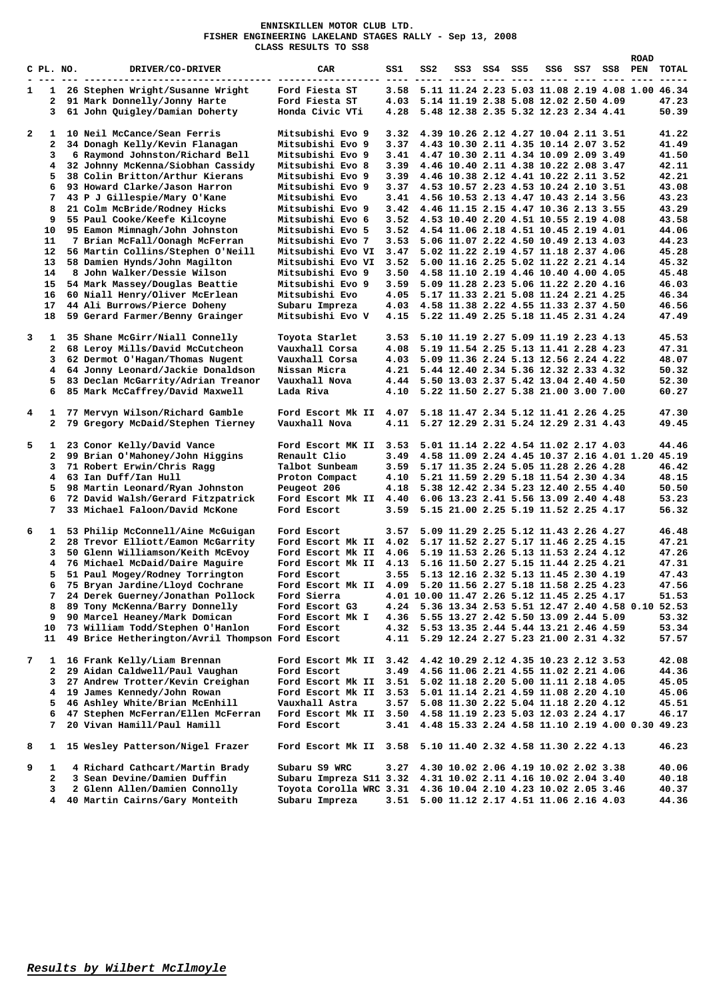**ENNISKILLEN MOTOR CLUB LTD. FISHER ENGINEERING LAKELAND STAGES RALLY - Sep 13, 2008 CLASS RESULTS TO SS8** 

|                |              |                                                  |                                                              |      |                                                      |                                                 |             |  |         | <b>ROAD</b> |       |
|----------------|--------------|--------------------------------------------------|--------------------------------------------------------------|------|------------------------------------------------------|-------------------------------------------------|-------------|--|---------|-------------|-------|
|                | C PL. NO.    | DRIVER/CO-DRIVER                                 | CAR                                                          | SS1  | SS2                                                  |                                                 | SS3 SS4 SS5 |  | SS6 SS7 | SS8 PEN     | TOTAL |
|                |              |                                                  |                                                              |      |                                                      |                                                 |             |  |         |             |       |
| $\mathbf{1}$   | 1            | 26 Stephen Wright/Susanne Wright                 | Ford Fiesta ST                                               |      | 3.58 5.11 11.24 2.23 5.03 11.08 2.19 4.08 1.00 46.34 |                                                 |             |  |         |             |       |
|                |              |                                                  |                                                              | 4.03 |                                                      | 5.14 11.19 2.38 5.08 12.02 2.50 4.09            |             |  |         |             |       |
|                | $\mathbf{2}$ | 91 Mark Donnelly/Jonny Harte                     | Ford Fiesta ST                                               |      |                                                      |                                                 |             |  |         |             | 47.23 |
|                | 3            | 61 John Quigley/Damian Doherty                   | Honda Civic VTi                                              | 4.28 |                                                      | 5.48 12.38 2.35 5.32 12.23 2.34 4.41            |             |  |         |             | 50.39 |
|                |              |                                                  |                                                              |      |                                                      |                                                 |             |  |         |             |       |
| $\overline{a}$ | $\mathbf{1}$ | 10 Neil McCance/Sean Ferris                      | Mitsubishi Evo 9                                             | 3.32 |                                                      | 4.39 10.26 2.12 4.27 10.04 2.11 3.51            |             |  |         |             | 41.22 |
|                | 2            | 34 Donagh Kelly/Kevin Flanagan                   | Mitsubishi Evo 9                                             | 3.37 |                                                      | 4.43 10.30 2.11 4.35 10.14 2.07 3.52            |             |  |         |             | 41.49 |
|                | 3            | 6 Raymond Johnston/Richard Bell                  | Mitsubishi Evo 9                                             | 3.41 |                                                      | 4.47 10.30 2.11 4.34 10.09 2.09 3.49            |             |  |         |             | 41.50 |
|                | 4            | 32 Johnny McKenna/Siobhan Cassidy                | Mitsubishi Evo 8                                             | 3.39 |                                                      | 4.46 10.40 2.11 4.38 10.22 2.08 3.47            |             |  |         |             | 42.11 |
|                | 5            | 38 Colin Britton/Arthur Kierans                  | Mitsubishi Evo 9                                             | 3.39 |                                                      | 4.46 10.38 2.12 4.41 10.22 2.11 3.52            |             |  |         |             | 42.21 |
|                | 6            | 93 Howard Clarke/Jason Harron                    | Mitsubishi Evo 9                                             | 3.37 |                                                      | 4.53 10.57 2.23 4.53 10.24 2.10 3.51            |             |  |         |             | 43.08 |
|                |              |                                                  |                                                              |      |                                                      |                                                 |             |  |         |             |       |
|                | 7            | 43 P J Gillespie/Mary O'Kane                     | Mitsubishi Evo                                               | 3.41 |                                                      | 4.56 10.53 2.13 4.47 10.43 2.14 3.56            |             |  |         |             | 43.23 |
|                | 8            | 21 Colm McBride/Rodney Hicks                     | Mitsubishi Evo 9                                             | 3.42 |                                                      | 4.46 11.15 2.15 4.47 10.36 2.13 3.55            |             |  |         |             | 43.29 |
|                | 9            | 55 Paul Cooke/Keefe Kilcoyne                     | Mitsubishi Evo 6                                             | 3.52 |                                                      | 4.53 10.40 2.20 4.51 10.55 2.19 4.08            |             |  |         |             | 43.58 |
|                | 10           | 95 Eamon Mimnagh/John Johnston                   | Mitsubishi Evo 5                                             |      | 3.52 4.54 11.06 2.18 4.51 10.45 2.19 4.01            |                                                 |             |  |         |             | 44.06 |
|                | 11           | 7 Brian McFall/Oonagh McFerran                   | Mitsubishi Evo 7                                             | 3.53 |                                                      | 5.06 11.07 2.22 4.50 10.49 2.13 4.03            |             |  |         |             | 44.23 |
|                | 12           | 56 Martin Collins/Stephen O'Neill                | Mitsubishi Evo VI                                            | 3.47 |                                                      | 5.02 11.22 2.19 4.57 11.18 2.37 4.06            |             |  |         |             | 45.28 |
|                | 13           | 58 Damien Hynds/John Magilton                    | Mitsubishi Evo VI                                            | 3.52 |                                                      | 5.00 11.16 2.25 5.02 11.22 2.21 4.14            |             |  |         |             | 45.32 |
|                | 14           |                                                  |                                                              |      |                                                      |                                                 |             |  |         |             |       |
|                |              | 8 John Walker/Dessie Wilson                      | Mitsubishi Evo 9                                             | 3.50 | 4.58 11.10 2.19 4.46 10.40 4.00 4.05                 |                                                 |             |  |         |             | 45.48 |
|                | 15           | 54 Mark Massey/Douglas Beattie                   | Mitsubishi Evo 9                                             |      | 3.59 5.09 11.28 2.23 5.06 11.22 2.20 4.16            |                                                 |             |  |         |             | 46.03 |
|                | 16           | 60 Niall Henry/Oliver McErlean                   | Mitsubishi Evo                                               | 4.05 |                                                      | 5.17 11.33 2.21 5.08 11.24 2.21 4.25            |             |  |         |             | 46.34 |
|                | 17           | 44 Ali Burrows/Pierce Doheny                     | Subaru Impreza                                               | 4.03 |                                                      | 4.58 11.38 2.22 4.55 11.33 2.37 4.50            |             |  |         |             | 46.56 |
|                | 18           | 59 Gerard Farmer/Benny Grainger                  | Mitsubishi Evo V                                             | 4.15 |                                                      | 5.22 11.49 2.25 5.18 11.45 2.31 4.24            |             |  |         |             | 47.49 |
|                |              |                                                  |                                                              |      |                                                      |                                                 |             |  |         |             |       |
| 3              | 1            | 35 Shane McGirr/Niall Connelly                   | Toyota Starlet                                               | 3.53 |                                                      | 5.10 11.19 2.27 5.09 11.19 2.23 4.13            |             |  |         |             | 45.53 |
|                | 2            | 68 Leroy Mills/David McCutcheon                  | Vauxhall Corsa                                               | 4.08 |                                                      | 5.19 11.54 2.25 5.13 11.41 2.28 4.23            |             |  |         |             | 47.31 |
|                | 3            | 62 Dermot O'Hagan/Thomas Nugent                  | Vauxhall Corsa                                               |      | 4.03 5.09 11.36 2.24 5.13 12.56 2.24 4.22            |                                                 |             |  |         |             | 48.07 |
|                | 4            | 64 Jonny Leonard/Jackie Donaldson                | Nissan Micra                                                 |      | 4.21 5.44 12.40 2.34 5.36 12.32 2.33 4.32            |                                                 |             |  |         |             | 50.32 |
|                | 5            |                                                  |                                                              |      |                                                      |                                                 |             |  |         |             |       |
|                |              | 83 Declan McGarrity/Adrian Treanor               | Vauxhall Nova                                                |      | 4.44 5.50 13.03 2.37 5.42 13.04 2.40 4.50            |                                                 |             |  |         |             | 52.30 |
|                | 6            | 85 Mark McCaffrey/David Maxwell                  | Lada Riva                                                    | 4.10 |                                                      | 5.22 11.50 2.27 5.38 21.00 3.00 7.00            |             |  |         |             | 60.27 |
|                |              |                                                  |                                                              |      |                                                      |                                                 |             |  |         |             |       |
| 4              | 1            | 77 Mervyn Wilson/Richard Gamble                  | Ford Escort Mk II                                            | 4.07 |                                                      | 5.18 11.47 2.34 5.12 11.41 2.26 4.25            |             |  |         |             | 47.30 |
|                | $\mathbf{2}$ | 79 Gregory McDaid/Stephen Tierney                | Vauxhall Nova                                                |      | 4.11 5.27 12.29 2.31 5.24 12.29 2.31 4.43            |                                                 |             |  |         |             | 49.45 |
|                |              |                                                  |                                                              |      |                                                      |                                                 |             |  |         |             |       |
| 5              | $\mathbf{1}$ | 23 Conor Kelly/David Vance                       | Ford Escort MK II 3.53                                       |      |                                                      | 5.01 11.14 2.22 4.54 11.02 2.17 4.03            |             |  |         |             | 44.46 |
|                | $\mathbf{2}$ | 99 Brian O'Mahoney/John Higgins                  | Renault Clio                                                 | 3.49 |                                                      | 4.58 11.09 2.24 4.45 10.37 2.16 4.01 1.20 45.19 |             |  |         |             |       |
|                | 3            | 71 Robert Erwin/Chris Ragg                       | Talbot Sunbeam                                               |      | 3.59 5.17 11.35 2.24 5.05 11.28 2.26 4.28            |                                                 |             |  |         |             | 46.42 |
|                | 4            | 63 Ian Duff/Ian Hull                             | Proton Compact                                               | 4.10 | 5.21 11.59 2.29 5.18 11.54 2.30 4.34                 |                                                 |             |  |         |             | 48.15 |
|                | 5            | 98 Martin Leonard/Ryan Johnston                  | Peugeot 206                                                  | 4.18 |                                                      | 5.38 12.42 2.34 5.23 12.40 2.55 4.40            |             |  |         |             | 50.50 |
|                |              |                                                  |                                                              | 4.40 |                                                      | 6.06 13.23 2.41 5.56 13.09 2.40 4.48            |             |  |         |             | 53.23 |
|                | 6            | 72 David Walsh/Gerard Fitzpatrick                | Ford Escort Mk II                                            |      |                                                      |                                                 |             |  |         |             |       |
|                | 7            | 33 Michael Faloon/David McKone                   | Ford Escort                                                  | 3.59 |                                                      | 5.15 21.00 2.25 5.19 11.52 2.25 4.17            |             |  |         |             | 56.32 |
|                |              |                                                  |                                                              |      |                                                      |                                                 |             |  |         |             |       |
| 6              | $\mathbf{1}$ | 53 Philip McConnell/Aine McGuigan                | Ford Escort                                                  | 3.57 |                                                      | 5.09 11.29 2.25 5.12 11.43 2.26 4.27            |             |  |         |             | 46.48 |
|                | 2            | 28 Trevor Elliott/Eamon McGarrity                | Ford Escort Mk II                                            | 4.02 |                                                      | 5.17 11.52 2.27 5.17 11.46 2.25 4.15            |             |  |         |             | 47.21 |
|                | 3            | 50 Glenn Williamson/Keith McEvov                 | Ford Escort Mk II                                            | 4.06 |                                                      | 5.19 11.53 2.26 5.13 11.53 2.24 4.12            |             |  |         |             | 47.26 |
|                | 4            | 76 Michael McDaid/Daire Maguire                  | Ford Escort Mk II                                            | 4.13 |                                                      | 5.16 11.50 2.27 5.15 11.44 2.25 4.21            |             |  |         |             | 47.31 |
|                | 5            | 51 Paul Mogey/Rodney Torrington                  | Ford Escort                                                  | 3.55 |                                                      | 5.13 12.16 2.32 5.13 11.45 2.30 4.19            |             |  |         |             | 47.43 |
|                | 6            | 75 Bryan Jardine/Lloyd Cochrane                  | Ford Escort Mk II 4.09 5.20 11.56 2.27 5.18 11.58 2.25 4.23  |      |                                                      |                                                 |             |  |         |             | 47.56 |
|                |              | 24 Derek Guerney/Jonathan Pollock                |                                                              |      |                                                      |                                                 |             |  |         |             |       |
|                | 7            |                                                  | Ford Sierra                                                  |      | 4.01 10.00 11.47 2.26 5.12 11.45 2.25 4.17           |                                                 |             |  |         |             | 51.53 |
|                | 8            | 89 Tony McKenna/Barry Donnelly                   | Ford Escort G3                                               |      | 4.24 5.36 13.34 2.53 5.51 12.47 2.40 4.58 0.10 52.53 |                                                 |             |  |         |             |       |
|                | 9            | 90 Marcel Heaney/Mark Domican                    | Ford Escort Mk I                                             | 4.36 |                                                      | 5.55 13.27 2.42 5.50 13.09 2.44 5.09            |             |  |         |             | 53.32 |
|                | 10           | 73 William Todd/Stephen O'Hanlon                 | Ford Escort                                                  | 4.32 |                                                      | 5.53 13.35 2.44 5.44 13.21 2.46 4.59            |             |  |         |             | 53.34 |
|                | 11           | 49 Brice Hetherington/Avril Thompson Ford Escort |                                                              | 4.11 |                                                      | 5.29 12.24 2.27 5.23 21.00 2.31 4.32            |             |  |         |             | 57.57 |
|                |              |                                                  |                                                              |      |                                                      |                                                 |             |  |         |             |       |
| 7              | 1            | 16 Frank Kelly/Liam Brennan                      | Ford Escort Mk II                                            | 3.42 |                                                      | 4.42 10.29 2.12 4.35 10.23 2.12 3.53            |             |  |         |             | 42.08 |
|                | $\mathbf{2}$ | 29 Aidan Caldwell/Paul Vaughan                   | Ford Escort                                                  |      | 3.49 4.56 11.06 2.21 4.55 11.02 2.21 4.06            |                                                 |             |  |         |             | 44.36 |
|                | 3            | 27 Andrew Trotter/Kevin Creighan                 | Ford Escort Mk II                                            | 3.51 |                                                      | 5.02 11.18 2.20 5.00 11.11 2.18 4.05            |             |  |         |             | 45.05 |
|                | 4            | 19 James Kennedy/John Rowan                      | Ford Escort Mk II                                            | 3.53 |                                                      | 5.01 11.14 2.21 4.59 11.08 2.20 4.10            |             |  |         |             | 45.06 |
|                | 5            | 46 Ashley White/Brian McEnhill                   | Vauxhall Astra                                               | 3.57 |                                                      | 5.08 11.30 2.22 5.04 11.18 2.20 4.12            |             |  |         |             | 45.51 |
|                |              | 47 Stephen McFerran/Ellen McFerran               |                                                              |      |                                                      | 4.58 11.19 2.23 5.03 12.03 2.24 4.17            |             |  |         |             |       |
|                | 6            |                                                  | Ford Escort Mk II                                            | 3.50 |                                                      |                                                 |             |  |         |             | 46.17 |
|                | 7            | 20 Vivan Hamill/Paul Hamill                      | Ford Escort                                                  | 3.41 |                                                      | 4.48 15.33 2.24 4.58 11.10 2.19 4.00 0.30 49.23 |             |  |         |             |       |
|                |              |                                                  |                                                              |      |                                                      |                                                 |             |  |         |             |       |
| 8              | $\mathbf{1}$ | 15 Wesley Patterson/Nigel Frazer                 | Ford Escort Mk II 3.58 5.10 11.40 2.32 4.58 11.30 2.22 4.13  |      |                                                      |                                                 |             |  |         |             | 46.23 |
| 9              | 1            | 4 Richard Cathcart/Martin Brady                  | Subaru S9 WRC                                                | 3.27 |                                                      | 4.30 10.02 2.06 4.19 10.02 2.02 3.38            |             |  |         |             | 40.06 |
|                | 2            | 3 Sean Devine/Damien Duffin                      | Subaru Impreza S11 3.32 4.31 10.02 2.11 4.16 10.02 2.04 3.40 |      |                                                      |                                                 |             |  |         |             | 40.18 |
|                |              |                                                  |                                                              |      |                                                      |                                                 |             |  |         |             |       |
|                | 3            | 2 Glenn Allen/Damien Connolly                    | Toyota Corolla WRC 3.31 4.36 10.04 2.10 4.23 10.02 2.05 3.46 |      |                                                      |                                                 |             |  |         |             | 40.37 |
|                | 4            | 40 Martin Cairns/Gary Monteith                   | Subaru Impreza                                               |      | 3.51 5.00 11.12 2.17 4.51 11.06 2.16 4.03            |                                                 |             |  |         |             | 44.36 |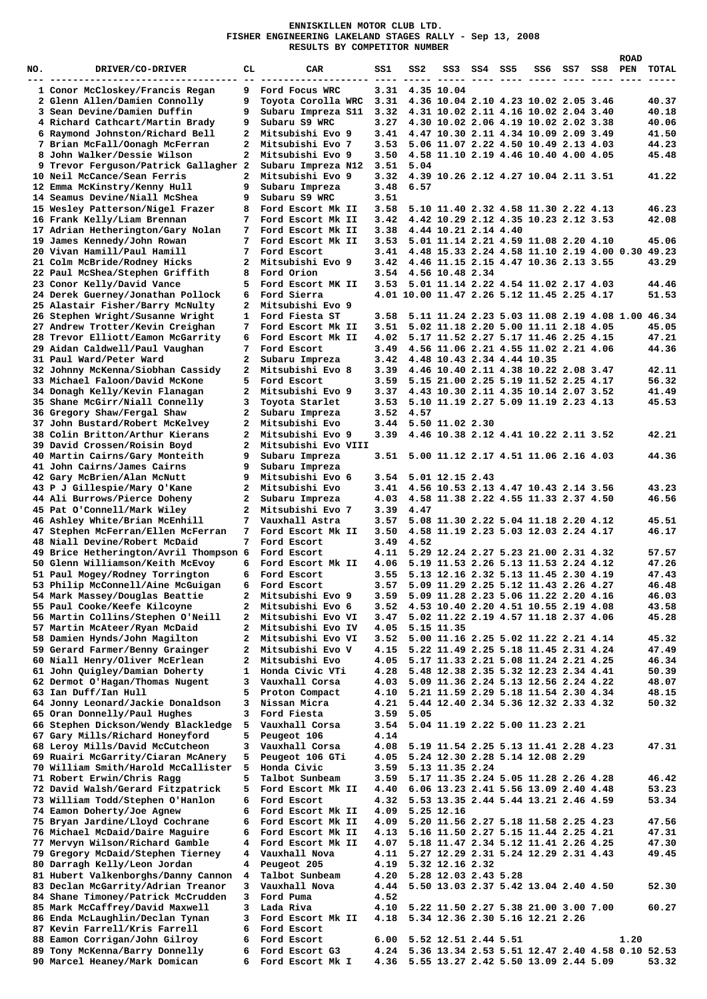## **ENNISKILLEN MOTOR CLUB LTD. FISHER ENGINEERING LAKELAND STAGES RALLY - Sep 13, 2008 RESULTS BY COMPETITOR NUMBER**

|     |                                        |              |                     |      |                 |                                                 |         |     |     |      | <b>ROAD</b> |       |
|-----|----------------------------------------|--------------|---------------------|------|-----------------|-------------------------------------------------|---------|-----|-----|------|-------------|-------|
| NO. | DRIVER/CO-DRIVER                       | CГ           | CAR                 | SS1. | ss2             | SS 3                                            | SS4 SS5 | SS6 | SS7 | SS 8 | PEN         | TOTAL |
|     |                                        |              |                     |      |                 |                                                 |         |     |     |      |             |       |
|     |                                        |              |                     |      |                 |                                                 |         |     |     |      |             |       |
|     | 1 Conor McCloskey/Francis Regan        | 9            | Ford Focus WRC      |      | 3.31 4.35 10.04 |                                                 |         |     |     |      |             |       |
|     | 2 Glenn Allen/Damien Connolly          | 9            | Toyota Corolla WRC  | 3.31 |                 | 4.36 10.04 2.10 4.23 10.02 2.05 3.46            |         |     |     |      |             | 40.37 |
|     | 3 Sean Devine/Damien Duffin            | 9            | Subaru Impreza S11  | 3.32 |                 | 4.31 10.02 2.11 4.16 10.02 2.04 3.40            |         |     |     |      |             | 40.18 |
|     | 4 Richard Cathcart/Martin Brady        | 9            | Subaru S9 WRC       | 3.27 |                 | 4.30 10.02 2.06 4.19 10.02 2.02 3.38            |         |     |     |      |             | 40.06 |
|     |                                        |              |                     |      |                 |                                                 |         |     |     |      |             |       |
|     | 6 Raymond Johnston/Richard Bell        | 2            | Mitsubishi Evo 9    | 3.41 |                 | 4.47 10.30 2.11 4.34 10.09 2.09 3.49            |         |     |     |      |             | 41.50 |
|     | 7 Brian McFall/Oonagh McFerran         | 2            | Mitsubishi Evo 7    | 3.53 |                 | 5.06 11.07 2.22 4.50 10.49 2.13 4.03            |         |     |     |      |             | 44.23 |
|     | 8 John Walker/Dessie Wilson            | 2            | Mitsubishi Evo 9    | 3.50 |                 | 4.58 11.10 2.19 4.46 10.40 4.00 4.05            |         |     |     |      |             | 45.48 |
|     |                                        |              |                     |      |                 |                                                 |         |     |     |      |             |       |
|     | 9 Trevor Ferguson/Patrick Gallagher 2  |              | Subaru Impreza N12  | 3.51 | 5.04            |                                                 |         |     |     |      |             |       |
|     | 10 Neil McCance/Sean Ferris            | 2            | Mitsubishi Evo 9    | 3.32 |                 | 4.39 10.26 2.12 4.27 10.04 2.11 3.51            |         |     |     |      |             | 41.22 |
|     | 12 Emma McKinstry/Kenny Hull           | 9            | Subaru Impreza      | 3.48 | 6.57            |                                                 |         |     |     |      |             |       |
|     | 14 Seamus Devine/Niall McShea          | 9            | Subaru S9 WRC       | 3.51 |                 |                                                 |         |     |     |      |             |       |
|     |                                        |              |                     |      |                 |                                                 |         |     |     |      |             |       |
|     | 15 Wesley Patterson/Nigel Frazer       | 8            | Ford Escort Mk II   | 3.58 |                 | 5.10 11.40 2.32 4.58 11.30 2.22 4.13            |         |     |     |      |             | 46.23 |
|     | 16 Frank Kelly/Liam Brennan            | 7            | Ford Escort Mk II   | 3.42 |                 | 4.42 10.29 2.12 4.35 10.23 2.12 3.53            |         |     |     |      |             | 42.08 |
|     | 17 Adrian Hetherington/Gary Nolan      | 7            | Ford Escort Mk II   | 3.38 |                 | 4.44 10.21 2.14 4.40                            |         |     |     |      |             |       |
|     |                                        |              |                     |      |                 |                                                 |         |     |     |      |             |       |
|     | 19 James Kennedy/John Rowan            | 7            | Ford Escort Mk II   | 3.53 |                 | 5.01 11.14 2.21 4.59 11.08 2.20 4.10            |         |     |     |      |             | 45.06 |
|     | 20 Vivan Hamill/Paul Hamill            | 7            | Ford Escort         | 3.41 |                 | 4.48 15.33 2.24 4.58 11.10 2.19 4.00 0.30 49.23 |         |     |     |      |             |       |
|     | 21 Colm McBride/Rodney Hicks           | 2            | Mitsubishi Evo 9    | 3.42 |                 | 4.46 11.15 2.15 4.47 10.36 2.13 3.55            |         |     |     |      |             | 43.29 |
|     | 22 Paul McShea/Stephen Griffith        | 8            | Ford Orion          | 3.54 |                 | 4.56 10.48 2.34                                 |         |     |     |      |             |       |
|     |                                        |              |                     |      |                 |                                                 |         |     |     |      |             |       |
|     | 23 Conor Kelly/David Vance             | 5            | Ford Escort MK II   | 3.53 |                 | 5.01 11.14 2.22 4.54 11.02 2.17 4.03            |         |     |     |      |             | 44.46 |
|     | 24 Derek Guerney/Jonathan Pollock      | 6            | Ford Sierra         |      |                 | 4.01 10.00 11.47 2.26 5.12 11.45 2.25 4.17      |         |     |     |      |             | 51.53 |
|     | 25 Alastair Fisher/Barry McNulty       | 2            | Mitsubishi Evo 9    |      |                 |                                                 |         |     |     |      |             |       |
|     | 26 Stephen Wright/Susanne Wright       | 1            | Ford Fiesta ST      | 3.58 |                 | 5.11 11.24 2.23 5.03 11.08 2.19 4.08 1.00 46.34 |         |     |     |      |             |       |
|     |                                        |              |                     |      |                 |                                                 |         |     |     |      |             |       |
|     | 27 Andrew Trotter/Kevin Creighan       | 7            | Ford Escort Mk II   | 3.51 |                 | 5.02 11.18 2.20 5.00 11.11 2.18 4.05            |         |     |     |      |             | 45.05 |
|     | 28 Trevor Elliott/Eamon McGarrity      | 6            | Ford Escort Mk II   | 4.02 |                 | 5.17 11.52 2.27 5.17 11.46 2.25 4.15            |         |     |     |      |             | 47.21 |
|     | 29 Aidan Caldwell/Paul Vaughan         | 7            | Ford Escort         | 3.49 |                 | 4.56 11.06 2.21 4.55 11.02 2.21 4.06            |         |     |     |      |             | 44.36 |
|     |                                        |              |                     |      |                 |                                                 |         |     |     |      |             |       |
|     | 31 Paul Ward/Peter Ward                | 2            | Subaru Impreza      | 3.42 |                 | 4.48 10.43 2.34 4.44 10.35                      |         |     |     |      |             |       |
|     | 32 Johnny McKenna/Siobhan Cassidy      | 2            | Mitsubishi Evo 8    | 3.39 |                 | 4.46 10.40 2.11 4.38 10.22 2.08 3.47            |         |     |     |      |             | 42.11 |
|     | 33 Michael Faloon/David McKone         | 5            | Ford Escort         | 3.59 |                 | 5.15 21.00 2.25 5.19 11.52 2.25 4.17            |         |     |     |      |             | 56.32 |
|     |                                        |              |                     |      |                 |                                                 |         |     |     |      |             |       |
|     | 34 Donagh Kelly/Kevin Flanagan         | 2            | Mitsubishi Evo 9    | 3.37 |                 | 4.43 10.30 2.11 4.35 10.14 2.07 3.52            |         |     |     |      |             | 41.49 |
|     | 35 Shane McGirr/Niall Connelly         | з            | Toyota Starlet      | 3.53 |                 | 5.10 11.19 2.27 5.09 11.19 2.23 4.13            |         |     |     |      |             | 45.53 |
|     | 36 Gregory Shaw/Fergal Shaw            | 2            | Subaru Impreza      | 3.52 | 4.57            |                                                 |         |     |     |      |             |       |
|     |                                        |              |                     |      |                 |                                                 |         |     |     |      |             |       |
|     | 37 John Bustard/Robert McKelvey        | 2            | Mitsubishi Evo      | 3.44 |                 | 5.50 11.02 2.30                                 |         |     |     |      |             |       |
|     | 38 Colin Britton/Arthur Kierans        | $\mathbf{z}$ | Mitsubishi Evo 9    | 3.39 |                 | 4.46 10.38 2.12 4.41 10.22 2.11 3.52            |         |     |     |      |             | 42.21 |
|     | 39 David Crossen/Roisin Boyd           | 2            | Mitsubishi Evo VIII |      |                 |                                                 |         |     |     |      |             |       |
|     | 40 Martin Cairns/Gary Monteith         | 9            | Subaru Impreza      |      |                 | 3.51 5.00 11.12 2.17 4.51 11.06 2.16 4.03       |         |     |     |      |             | 44.36 |
|     |                                        |              |                     |      |                 |                                                 |         |     |     |      |             |       |
|     | 41 John Cairns/James Cairns            | 9            | Subaru Impreza      |      |                 |                                                 |         |     |     |      |             |       |
|     | 42 Gary McBrien/Alan McNutt            | 9            | Mitsubishi Evo 6    | 3.54 |                 | 5.01 12.15 2.43                                 |         |     |     |      |             |       |
|     | 43 P J Gillespie/Mary O'Kane           | 2            | Mitsubishi Evo      | 3.41 |                 | 4.56 10.53 2.13 4.47 10.43 2.14 3.56            |         |     |     |      |             | 43.23 |
|     |                                        |              |                     |      |                 |                                                 |         |     |     |      |             |       |
|     | 44 Ali Burrows/Pierce Doheny           | 2            | Subaru Impreza      |      |                 | 4.03 4.58 11.38 2.22 4.55 11.33 2.37 4.50       |         |     |     |      |             | 46.56 |
|     | 45 Pat O'Connell/Mark Wiley            | 2            | Mitsubishi Evo 7    | 3.39 | 4.47            |                                                 |         |     |     |      |             |       |
|     | 46 Ashley White/Brian McEnhill         | 7            | Vauxhall Astra      | 3.57 |                 | 5.08 11.30 2.22 5.04 11.18 2.20 4.12            |         |     |     |      |             | 45.51 |
|     | 47 Stephen McFerran/Ellen McFerran     | 7            | Ford Escort Mk II   | 3.50 |                 | 4.58 11.19 2.23 5.03 12.03 2.24 4.17            |         |     |     |      |             | 46.17 |
|     |                                        |              |                     |      |                 |                                                 |         |     |     |      |             |       |
|     | 48 Niall Devine/Robert McDaid          | 7            | Ford Escort         | 3.49 | 4.52            |                                                 |         |     |     |      |             |       |
|     | 49 Brice Hetherington/Avril Thompson 6 |              | Ford Escort         | 4.11 |                 | 5.29 12.24 2.27 5.23 21.00 2.31 4.32            |         |     |     |      |             | 57.57 |
|     | 50 Glenn Williamson/Keith McEvoy       | 6            | Ford Escort Mk II   | 4.06 |                 | 5.19 11.53 2.26 5.13 11.53 2.24 4.12            |         |     |     |      |             | 47.26 |
|     |                                        |              |                     |      |                 |                                                 |         |     |     |      |             |       |
|     | 51 Paul Mogey/Rodney Torrington        | 6            | Ford Escort         | 3.55 |                 | 5.13 12.16 2.32 5.13 11.45 2.30 4.19            |         |     |     |      |             | 47.43 |
|     | 53 Philip McConnell/Aine McGuigan      | 6            | Ford Escort         |      |                 | 3.57 5.09 11.29 2.25 5.12 11.43 2.26 4.27       |         |     |     |      |             | 46.48 |
|     | 54 Mark Massey/Douglas Beattie         | 2            | Mitsubishi Evo 9    | 3.59 |                 | 5.09 11.28 2.23 5.06 11.22 2.20 4.16            |         |     |     |      |             | 46.03 |
|     | 55 Paul Cooke/Keefe Kilcoyne           | 2            | Mitsubishi Evo 6    | 3.52 |                 | 4.53 10.40 2.20 4.51 10.55 2.19 4.08            |         |     |     |      |             | 43.58 |
|     |                                        |              |                     |      |                 |                                                 |         |     |     |      |             |       |
|     | 56 Martin Collins/Stephen O'Neill      | 2            | Mitsubishi Evo VI   | 3.47 |                 | 5.02 11.22 2.19 4.57 11.18 2.37 4.06            |         |     |     |      |             | 45.28 |
|     | 57 Martin McAteer/Ryan McDaid          | 2            | Mitsubishi Evo IV   | 4.05 |                 | 5.15 11.35                                      |         |     |     |      |             |       |
|     | 58 Damien Hynds/John Magilton          | 2            | Mitsubishi Evo VI   | 3.52 |                 | 5.00 11.16 2.25 5.02 11.22 2.21 4.14            |         |     |     |      |             | 45.32 |
|     |                                        |              |                     |      |                 |                                                 |         |     |     |      |             |       |
|     | 59 Gerard Farmer/Benny Grainger        | 2            | Mitsubishi Evo V    | 4.15 |                 | 5.22 11.49 2.25 5.18 11.45 2.31 4.24            |         |     |     |      |             | 47.49 |
|     | 60 Niall Henry/Oliver McErlean         | 2            | Mitsubishi Evo      | 4.05 |                 | 5.17 11.33 2.21 5.08 11.24 2.21 4.25            |         |     |     |      |             | 46.34 |
|     | 61 John Quigley/Damian Doherty         | 1            | Honda Civic VTi     | 4.28 |                 | 5.48 12.38 2.35 5.32 12.23 2.34 4.41            |         |     |     |      |             | 50.39 |
|     | 62 Dermot O'Hagan/Thomas Nugent        | 3            | Vauxhall Corsa      | 4.03 |                 | 5.09 11.36 2.24 5.13 12.56 2.24 4.22            |         |     |     |      |             | 48.07 |
|     |                                        | 5            | Proton Compact      |      |                 |                                                 |         |     |     |      |             |       |
|     | 63 Ian Duff/Ian Hull                   |              |                     | 4.10 |                 | 5.21 11.59 2.29 5.18 11.54 2.30 4.34            |         |     |     |      |             | 48.15 |
|     | 64 Jonny Leonard/Jackie Donaldson      | 3            | Nissan Micra        | 4.21 |                 | 5.44 12.40 2.34 5.36 12.32 2.33 4.32            |         |     |     |      |             | 50.32 |
|     | 65 Oran Donnelly/Paul Hughes           | 3            | Ford Fiesta         | 3.59 | 5.05            |                                                 |         |     |     |      |             |       |
|     | 66 Stephen Dickson/Wendy Blackledge    | 5            | Vauxhall Corsa      | 3.54 |                 | 5.04 11.19 2.22 5.00 11.23 2.21                 |         |     |     |      |             |       |
|     |                                        | 5            |                     | 4.14 |                 |                                                 |         |     |     |      |             |       |
|     | 67 Gary Mills/Richard Honeyford        |              | Peugeot 106         |      |                 |                                                 |         |     |     |      |             |       |
|     | 68 Leroy Mills/David McCutcheon        | 3            | Vauxhall Corsa      | 4.08 |                 | 5.19 11.54 2.25 5.13 11.41 2.28 4.23            |         |     |     |      |             | 47.31 |
|     | 69 Ruairi McGarrity/Ciaran McAnery     | 5            | Peugeot 106 GTi     | 4.05 |                 | 5.24 12.30 2.28 5.14 12.08 2.29                 |         |     |     |      |             |       |
|     | 70 William Smith/Harold McCallister    | 5            | Honda Civic         | 3.59 |                 | 5.13 11.35 2.24                                 |         |     |     |      |             |       |
|     |                                        |              |                     |      |                 |                                                 |         |     |     |      |             |       |
|     | 71 Robert Erwin/Chris Ragg             | 5            | Talbot Sunbeam      | 3.59 |                 | 5.17 11.35 2.24 5.05 11.28 2.26 4.28            |         |     |     |      |             | 46.42 |
|     | 72 David Walsh/Gerard Fitzpatrick      | 5            | Ford Escort Mk II   | 4.40 |                 | 6.06 13.23 2.41 5.56 13.09 2.40 4.48            |         |     |     |      |             | 53.23 |
|     | 73 William Todd/Stephen O'Hanlon       | 6            | Ford Escort         | 4.32 |                 | 5.53 13.35 2.44 5.44 13.21 2.46 4.59            |         |     |     |      |             | 53.34 |
|     | 74 Eamon Doherty/Joe Agnew             | 6            | Ford Escort Mk II   | 4.09 |                 | 5.25 12.16                                      |         |     |     |      |             |       |
|     |                                        |              |                     |      |                 |                                                 |         |     |     |      |             |       |
|     | 75 Bryan Jardine/Lloyd Cochrane        | 6            | Ford Escort Mk II   | 4.09 |                 | 5.20 11.56 2.27 5.18 11.58 2.25 4.23            |         |     |     |      |             | 47.56 |
|     | 76 Michael McDaid/Daire Maguire        | 6            | Ford Escort Mk II   | 4.13 |                 | 5.16 11.50 2.27 5.15 11.44 2.25 4.21            |         |     |     |      |             | 47.31 |
|     | 77 Mervyn Wilson/Richard Gamble        | 4            | Ford Escort Mk II   | 4.07 |                 | 5.18 11.47 2.34 5.12 11.41 2.26 4.25            |         |     |     |      |             | 47.30 |
|     |                                        |              |                     |      |                 |                                                 |         |     |     |      |             |       |
|     | 79 Gregory McDaid/Stephen Tierney      | 4            | Vauxhall Nova       | 4.11 |                 | 5.27 12.29 2.31 5.24 12.29 2.31 4.43            |         |     |     |      |             | 49.45 |
|     | 80 Darragh Kelly/Leon Jordan           | 4            | Peugeot 205         | 4.19 |                 | 5.32 12.16 2.32                                 |         |     |     |      |             |       |
|     | 81 Hubert Valkenborghs/Danny Cannon    | 4            | Talbot Sunbeam      | 4.20 |                 | 5.28 12.03 2.43 5.28                            |         |     |     |      |             |       |
|     | 83 Declan McGarrity/Adrian Treanor     | 3            | Vauxhall Nova       | 4.44 |                 | 5.50 13.03 2.37 5.42 13.04 2.40 4.50            |         |     |     |      |             | 52.30 |
|     |                                        |              |                     |      |                 |                                                 |         |     |     |      |             |       |
|     | 84 Shane Timoney/Patrick McCrudden     | 3            | Ford Puma           | 4.52 |                 |                                                 |         |     |     |      |             |       |
|     | 85 Mark McCaffrey/David Maxwell        | 3            | Lada Riva           | 4.10 |                 | 5.22 11.50 2.27 5.38 21.00 3.00 7.00            |         |     |     |      |             | 60.27 |
|     | 86 Enda McLaughlin/Declan Tynan        | 3            | Ford Escort Mk II   | 4.18 |                 | 5.34 12.36 2.30 5.16 12.21 2.26                 |         |     |     |      |             |       |
|     | 87 Kevin Farrell/Kris Farrell          | 6            | Ford Escort         |      |                 |                                                 |         |     |     |      |             |       |
|     |                                        |              |                     |      |                 |                                                 |         |     |     |      |             |       |
|     | 88 Eamon Corrigan/John Gilroy          | 6            | Ford Escort         | 6.00 |                 | 5.52 12.51 2.44 5.51                            |         |     |     |      | 1.20        |       |
|     | 89 Tony McKenna/Barry Donnelly         | 6            | Ford Escort G3      | 4.24 |                 | 5.36 13.34 2.53 5.51 12.47 2.40 4.58 0.10 52.53 |         |     |     |      |             |       |
|     | 90 Marcel Heaney/Mark Domican          | 6            | Ford Escort Mk I    |      |                 | 4.36 5.55 13.27 2.42 5.50 13.09 2.44 5.09       |         |     |     |      |             | 53.32 |